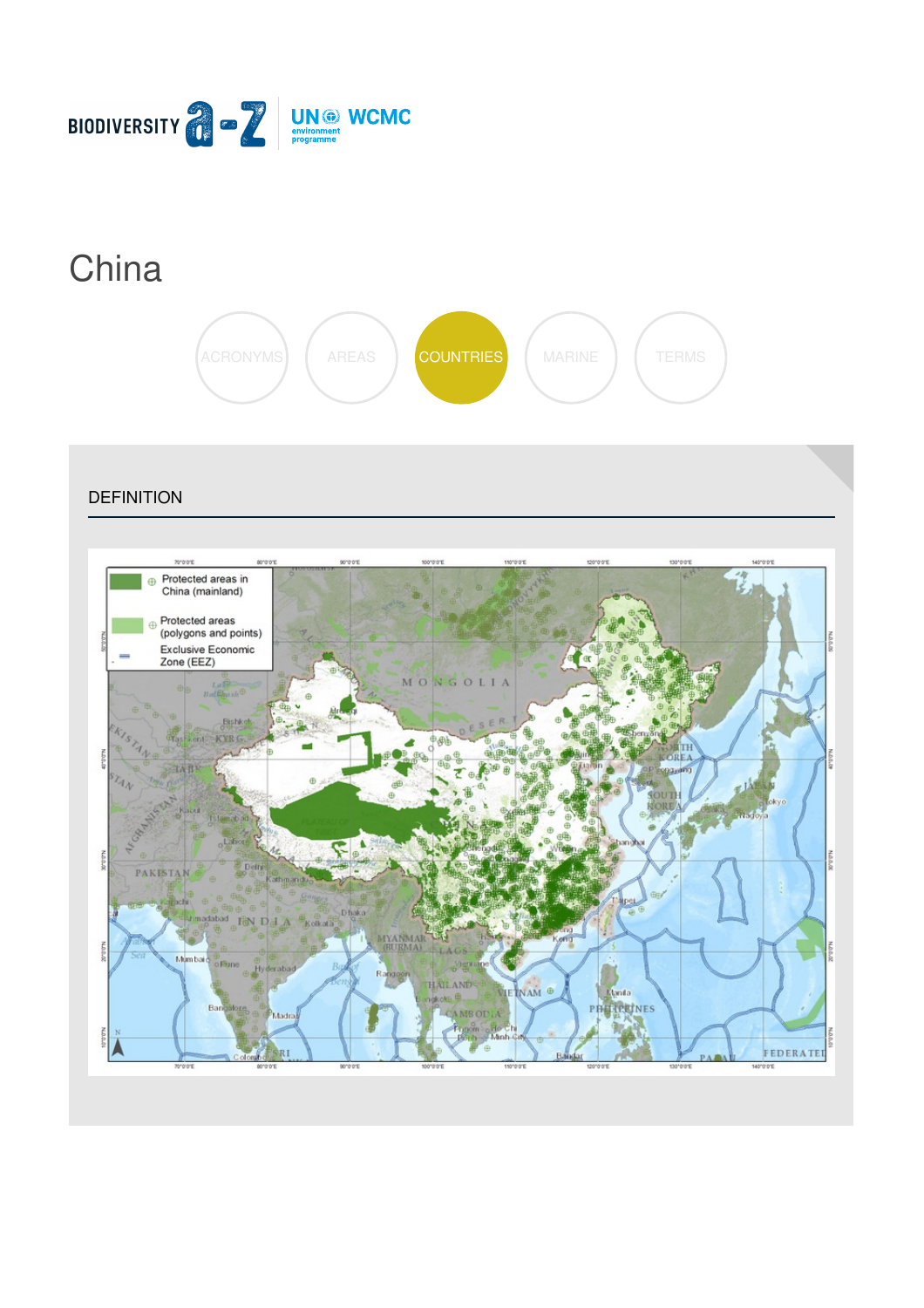

# **[China](https://biodiversitya-z.org/content/china)**



#### **DEFINITION**

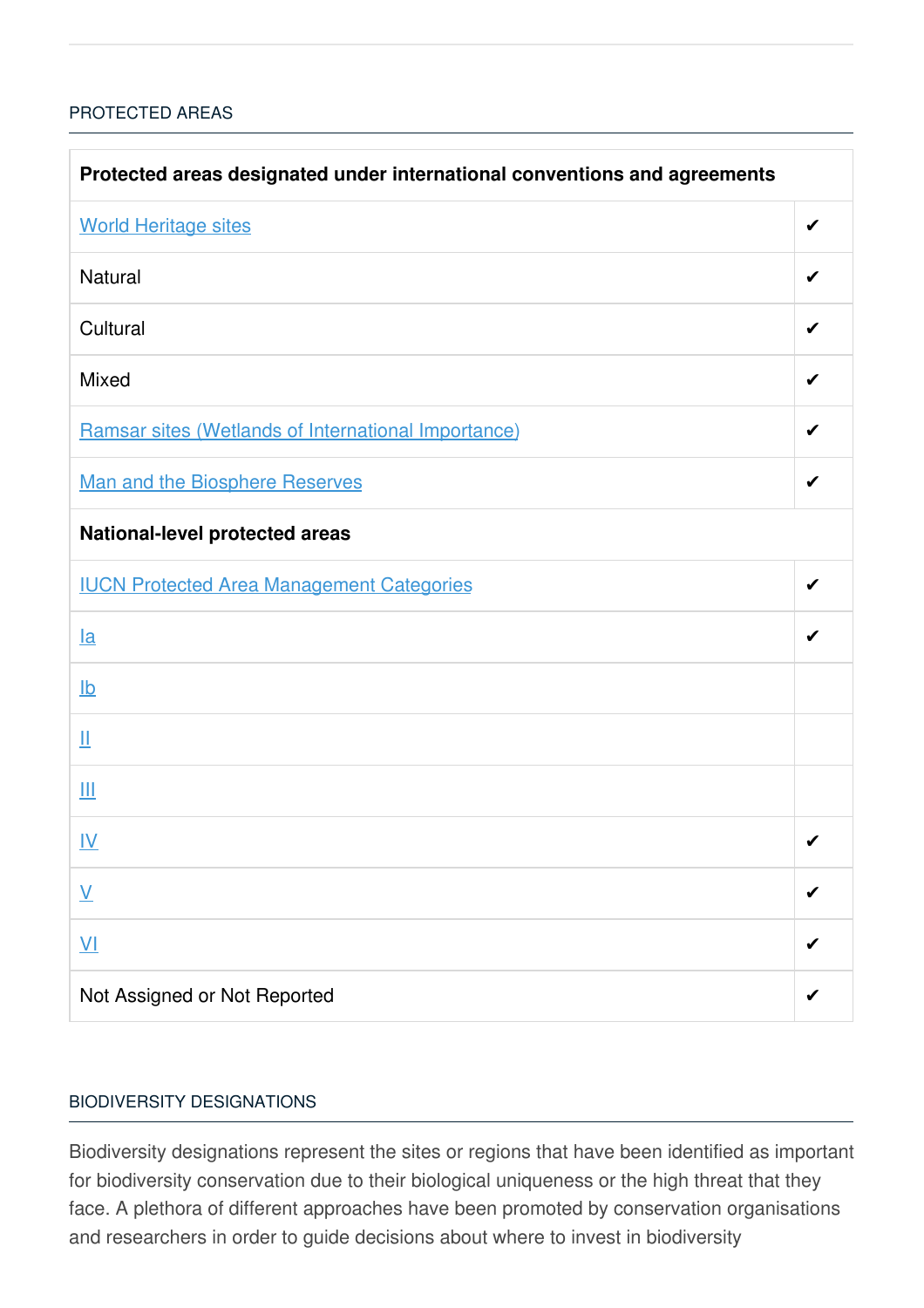## [PROTECTED](javascript:void(0)) AREAS

| Protected areas designated under international conventions and agreements |   |  |
|---------------------------------------------------------------------------|---|--|
| <b>World Heritage sites</b>                                               | ✔ |  |
| Natural                                                                   | ✔ |  |
| Cultural                                                                  | ✔ |  |
| Mixed                                                                     | ✔ |  |
| Ramsar sites (Wetlands of International Importance)                       |   |  |
| <b>Man and the Biosphere Reserves</b>                                     | ✔ |  |
| National-level protected areas                                            |   |  |
| <b>IUCN Protected Area Management Categories</b>                          | ✔ |  |
| <u>la</u>                                                                 |   |  |
| $\underline{\mathsf{lb}}$                                                 |   |  |
| Щ                                                                         |   |  |
| Ш                                                                         |   |  |
| <u>IV</u>                                                                 | ✔ |  |
| $\underline{\mathsf{V}}$                                                  |   |  |
| $\underline{V}$                                                           |   |  |
| Not Assigned or Not Reported                                              |   |  |

#### BIODIVERSITY [DESIGNATIONS](javascript:void(0))

Biodiversity designations represent the sites or regions that have been identified as important for biodiversity conservation due to their biological uniqueness or the high threat that they face. A plethora of different approaches have been promoted by conservation organisations and researchers in order to guide decisions about where to invest in biodiversity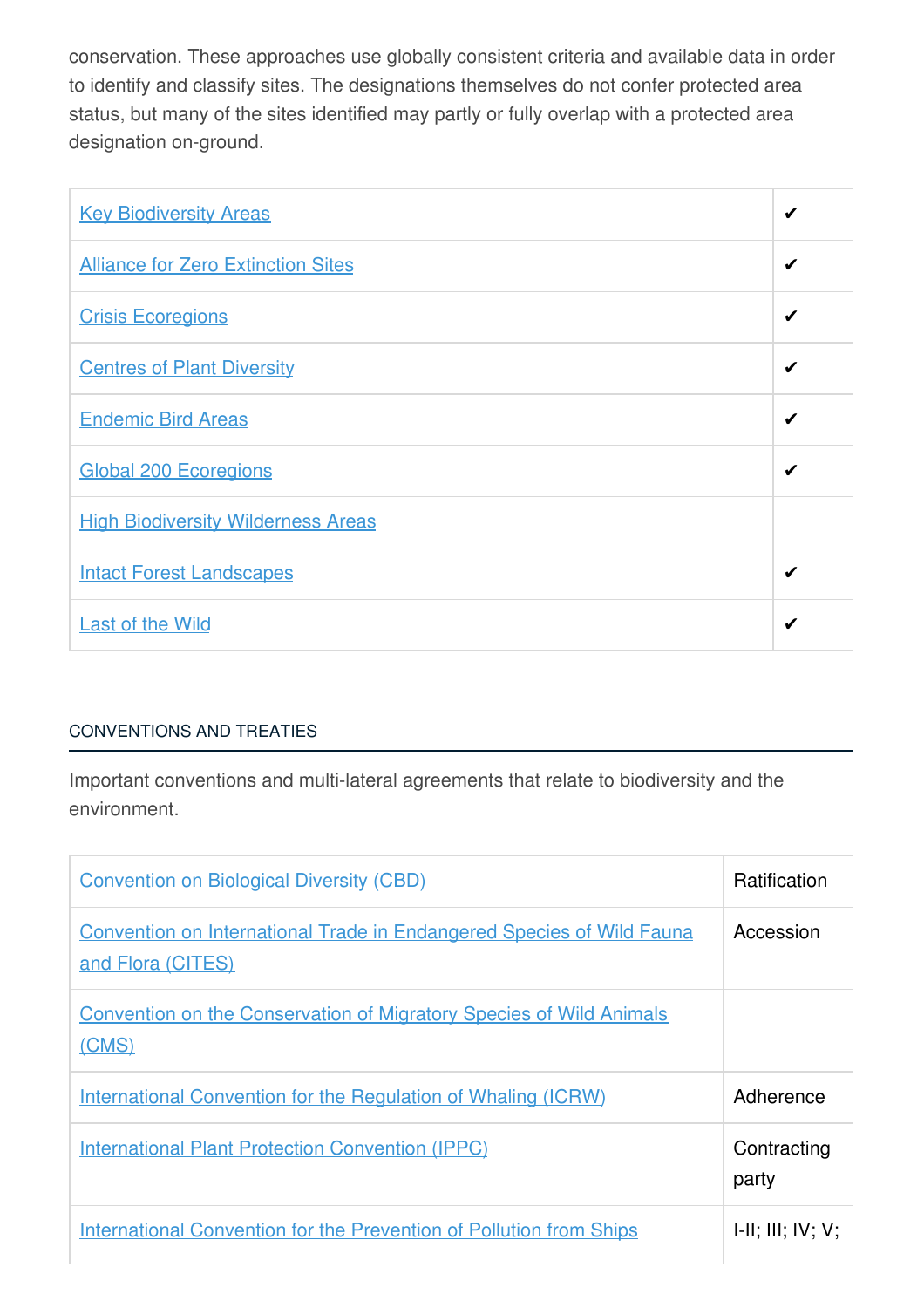conservation. These approaches use globally consistent criteria and available data in order to identify and classify sites. The designations themselves do not confer protected area status, but many of the sites identified may partly or fully overlap with a protected area designation on-ground.

| <b>Key Biodiversity Areas</b>             | ✔ |
|-------------------------------------------|---|
| <b>Alliance for Zero Extinction Sites</b> | ✔ |
| <b>Crisis Ecoregions</b>                  | ✔ |
| <b>Centres of Plant Diversity</b>         | ✔ |
| <b>Endemic Bird Areas</b>                 | ✔ |
| <b>Global 200 Ecoregions</b>              | ✔ |
| <b>High Biodiversity Wilderness Areas</b> |   |
| <b>Intact Forest Landscapes</b>           | ✔ |
| <b>Last of the Wild</b>                   | ✔ |

# [CONVENTIONS](javascript:void(0)) AND TREATIES

Important conventions and multi-lateral agreements that relate to biodiversity and the environment.

| <b>Convention on Biological Diversity (CBD)</b>                                                   | <b>Ratification</b>  |
|---------------------------------------------------------------------------------------------------|----------------------|
| <b>Convention on International Trade in Endangered Species of Wild Fauna</b><br>and Flora (CITES) | Accession            |
| <b>Convention on the Conservation of Migratory Species of Wild Animals</b><br>(CMS)               |                      |
| <b>International Convention for the Regulation of Whaling (ICRW)</b>                              | Adherence            |
| <b>International Plant Protection Convention (IPPC)</b>                                           | Contracting<br>party |
| <b>International Convention for the Prevention of Pollution from Ships</b>                        | H: III; IV; V;       |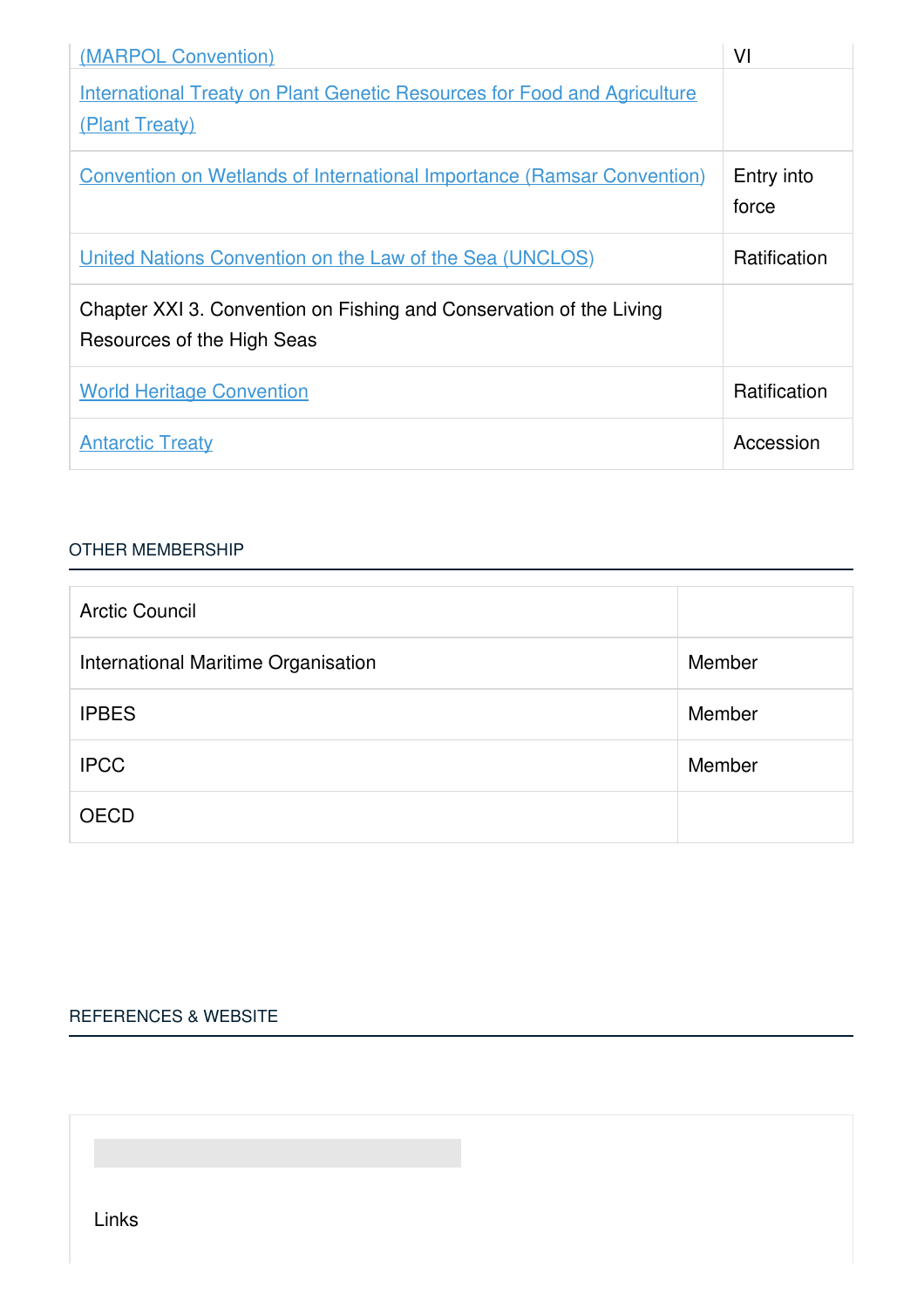| (MARPOL Convention)                                                                               | VI                  |
|---------------------------------------------------------------------------------------------------|---------------------|
| <b>International Treaty on Plant Genetic Resources for Food and Agriculture</b><br>(Plant Treaty) |                     |
| <b>Convention on Wetlands of International Importance (Ramsar Convention)</b>                     | Entry into<br>force |
| United Nations Convention on the Law of the Sea (UNCLOS)                                          | <b>Ratification</b> |
| Chapter XXI 3. Convention on Fishing and Conservation of the Living<br>Resources of the High Seas |                     |
| <b>World Heritage Convention</b>                                                                  | Ratification        |
| <b>Antarctic Treaty</b>                                                                           | Accession           |

#### OTHER [MEMBERSHIP](javascript:void(0))

| <b>Arctic Council</b>               |        |
|-------------------------------------|--------|
| International Maritime Organisation | Member |
| <b>IPBES</b>                        | Member |
| <b>IPCC</b>                         | Member |
| <b>OECD</b>                         |        |

## [REFERENCES](javascript:void(0)) & WEBSITE

Links